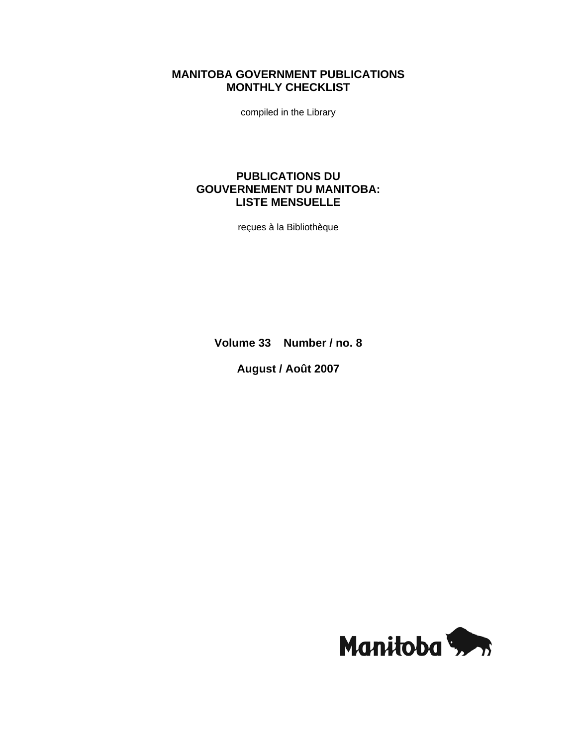# **MANITOBA GOVERNMENT PUBLICATIONS MONTHLY CHECKLIST**

compiled in the Library

# **PUBLICATIONS DU GOUVERNEMENT DU MANITOBA: LISTE MENSUELLE**

reçues à la Bibliothèque

**Volume 33 Number / no. 8** 

**August / Août 2007** 

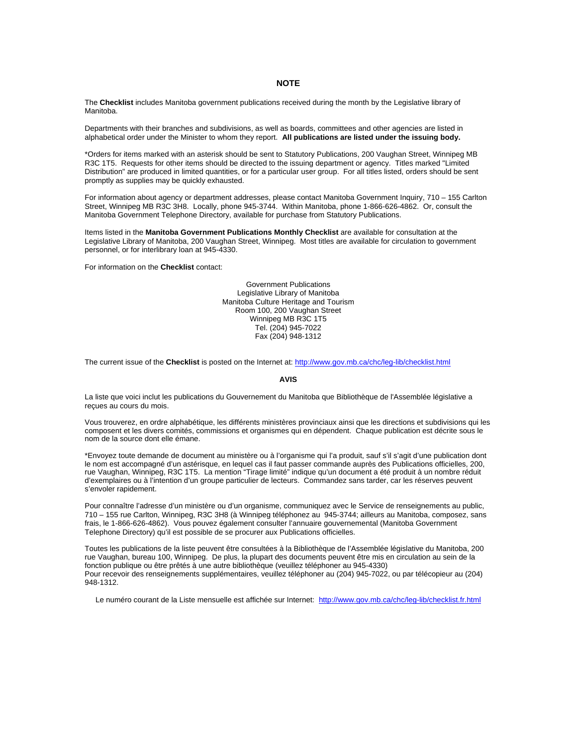#### **NOTE**

The **Checklist** includes Manitoba government publications received during the month by the Legislative library of Manitoba.

Departments with their branches and subdivisions, as well as boards, committees and other agencies are listed in alphabetical order under the Minister to whom they report. **All publications are listed under the issuing body.** 

\*Orders for items marked with an asterisk should be sent to Statutory Publications, 200 Vaughan Street, Winnipeg MB R3C 1T5. Requests for other items should be directed to the issuing department or agency. Titles marked "Limited Distribution" are produced in limited quantities, or for a particular user group. For all titles listed, orders should be sent promptly as supplies may be quickly exhausted.

For information about agency or department addresses, please contact Manitoba Government Inquiry, 710 – 155 Carlton Street, Winnipeg MB R3C 3H8. Locally, phone 945-3744. Within Manitoba, phone 1-866-626-4862. Or, consult the Manitoba Government Telephone Directory, available for purchase from Statutory Publications.

Items listed in the **Manitoba Government Publications Monthly Checklist** are available for consultation at the Legislative Library of Manitoba, 200 Vaughan Street, Winnipeg. Most titles are available for circulation to government personnel, or for interlibrary loan at 945-4330.

For information on the **Checklist** contact:

Government Publications Legislative Library of Manitoba Manitoba Culture Heritage and Tourism Room 100, 200 Vaughan Street Winnipeg MB R3C 1T5 Tel. (204) 945-7022 Fax (204) 948-1312

The current issue of the **Checklist** is posted on the Internet at: http://www.gov.mb.ca/chc/leg-lib/checklist.html

#### **AVIS**

La liste que voici inclut les publications du Gouvernement du Manitoba que Bibliothèque de l'Assemblée législative a reçues au cours du mois.

Vous trouverez, en ordre alphabétique, les différents ministères provinciaux ainsi que les directions et subdivisions qui les composent et les divers comités, commissions et organismes qui en dépendent. Chaque publication est décrite sous le nom de la source dont elle émane.

\*Envoyez toute demande de document au ministère ou à l'organisme qui l'a produit, sauf s'il s'agit d'une publication dont le nom est accompagné d'un astérisque, en lequel cas il faut passer commande auprès des Publications officielles, 200, rue Vaughan, Winnipeg, R3C 1T5. La mention "Tirage limité" indique qu'un document a été produit à un nombre réduit d'exemplaires ou à l'intention d'un groupe particulier de lecteurs. Commandez sans tarder, car les réserves peuvent s'envoler rapidement.

Pour connaître l'adresse d'un ministère ou d'un organisme, communiquez avec le Service de renseignements au public, 710 – 155 rue Carlton, Winnipeg, R3C 3H8 (à Winnipeg téléphonez au 945-3744; ailleurs au Manitoba, composez, sans frais, le 1-866-626-4862). Vous pouvez également consulter l'annuaire gouvernemental (Manitoba Government Telephone Directory) qu'il est possible de se procurer aux Publications officielles.

Toutes les publications de la liste peuvent être consultées à la Bibliothèque de l'Assemblée législative du Manitoba, 200 rue Vaughan, bureau 100, Winnipeg. De plus, la plupart des documents peuvent être mis en circulation au sein de la fonction publique ou être prêtés à une autre bibliothèque (veuillez téléphoner au 945-4330) Pour recevoir des renseignements supplémentaires, veuillez téléphoner au (204) 945-7022, ou par télécopieur au (204) 948-1312.

Le numéro courant de la Liste mensuelle est affichée sur Internet: http://www.gov.mb.ca/chc/leg-lib/checklist.fr.html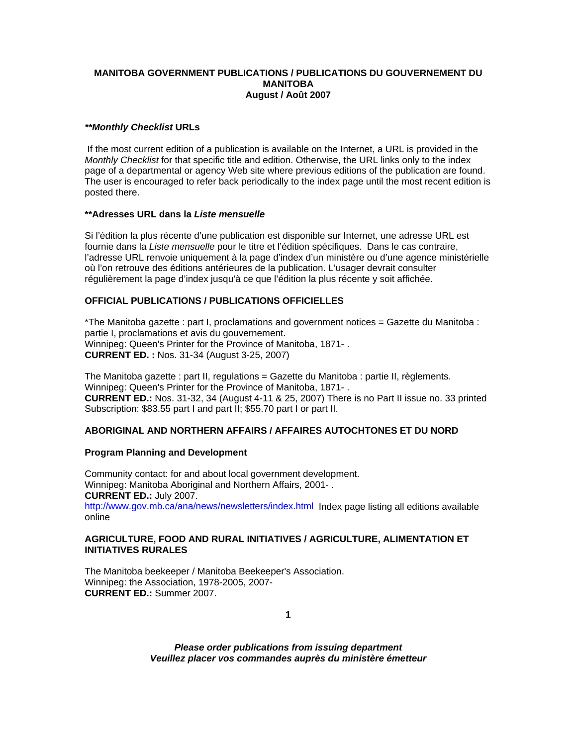## **MANITOBA GOVERNMENT PUBLICATIONS / PUBLICATIONS DU GOUVERNEMENT DU MANITOBA August / Août 2007**

## *\*\*Monthly Checklist* **URLs**

 If the most current edition of a publication is available on the Internet, a URL is provided in the *Monthly Checklist* for that specific title and edition. Otherwise, the URL links only to the index page of a departmental or agency Web site where previous editions of the publication are found. The user is encouraged to refer back periodically to the index page until the most recent edition is posted there.

## **\*\*Adresses URL dans la** *Liste mensuelle*

Si l'édition la plus récente d'une publication est disponible sur Internet, une adresse URL est fournie dans la *Liste mensuelle* pour le titre et l'édition spécifiques. Dans le cas contraire, l'adresse URL renvoie uniquement à la page d'index d'un ministère ou d'une agence ministérielle où l'on retrouve des éditions antérieures de la publication. L'usager devrait consulter régulièrement la page d'index jusqu'à ce que l'édition la plus récente y soit affichée.

# **OFFICIAL PUBLICATIONS / PUBLICATIONS OFFICIELLES**

\*The Manitoba gazette : part I, proclamations and government notices = Gazette du Manitoba : partie I, proclamations et avis du gouvernement. Winnipeg: Queen's Printer for the Province of Manitoba, 1871- . **CURRENT ED. :** Nos. 31-34 (August 3-25, 2007)

The Manitoba gazette : part II, regulations = Gazette du Manitoba : partie II, règlements. Winnipeg: Queen's Printer for the Province of Manitoba, 1871- . **CURRENT ED.:** Nos. 31-32, 34 (August 4-11 & 25, 2007) There is no Part II issue no. 33 printed Subscription: \$83.55 part I and part II; \$55.70 part I or part II.

# **ABORIGINAL AND NORTHERN AFFAIRS / AFFAIRES AUTOCHTONES ET DU NORD**

## **Program Planning and Development**

Community contact: for and about local government development. Winnipeg: Manitoba Aboriginal and Northern Affairs, 2001- . **CURRENT ED.:** July 2007. http://www.gov.mb.ca/ana/news/newsletters/index.html Index page listing all editions available online

## **AGRICULTURE, FOOD AND RURAL INITIATIVES / AGRICULTURE, ALIMENTATION ET INITIATIVES RURALES**

The Manitoba beekeeper / Manitoba Beekeeper's Association. Winnipeg: the Association, 1978-2005, 2007- **CURRENT ED.:** Summer 2007.

**1**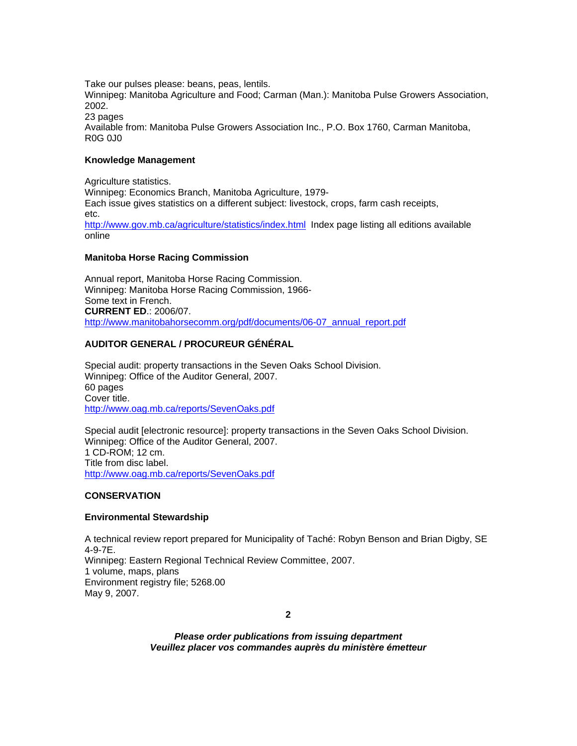Take our pulses please: beans, peas, lentils. Winnipeg: Manitoba Agriculture and Food; Carman (Man.): Manitoba Pulse Growers Association, 2002. 23 pages Available from: Manitoba Pulse Growers Association Inc., P.O. Box 1760, Carman Manitoba, R0G 0J0

## **Knowledge Management**

Agriculture statistics. Winnipeg: Economics Branch, Manitoba Agriculture, 1979- Each issue gives statistics on a different subject: livestock, crops, farm cash receipts, etc. http://www.gov.mb.ca/agriculture/statistics/index.html Index page listing all editions available online

#### **Manitoba Horse Racing Commission**

Annual report, Manitoba Horse Racing Commission. Winnipeg: Manitoba Horse Racing Commission, 1966- Some text in French. **CURRENT ED**.: 2006/07. http://www.manitobahorsecomm.org/pdf/documents/06-07 annual report.pdf

## **AUDITOR GENERAL / PROCUREUR GÉNÉRAL**

Special audit: property transactions in the Seven Oaks School Division. Winnipeg: Office of the Auditor General, 2007. 60 pages Cover title. http://www.oag.mb.ca/reports/SevenOaks.pdf

Special audit [electronic resource]: property transactions in the Seven Oaks School Division. Winnipeg: Office of the Auditor General, 2007. 1 CD-ROM; 12 cm. Title from disc label. http://www.oag.mb.ca/reports/SevenOaks.pdf

## **CONSERVATION**

## **Environmental Stewardship**

A technical review report prepared for Municipality of Taché: Robyn Benson and Brian Digby, SE 4-9-7E. Winnipeg: Eastern Regional Technical Review Committee, 2007. 1 volume, maps, plans Environment registry file; 5268.00 May 9, 2007.

**2**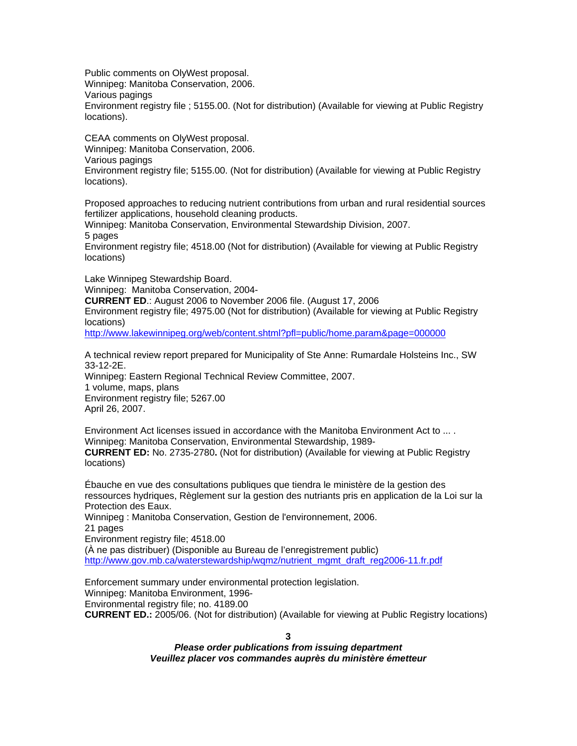Public comments on OlyWest proposal. Winnipeg: Manitoba Conservation, 2006. Various pagings Environment registry file ; 5155.00. (Not for distribution) (Available for viewing at Public Registry locations).

CEAA comments on OlyWest proposal. Winnipeg: Manitoba Conservation, 2006. Various pagings Environment registry file; 5155.00. (Not for distribution) (Available for viewing at Public Registry locations).

Proposed approaches to reducing nutrient contributions from urban and rural residential sources fertilizer applications, household cleaning products.

Winnipeg: Manitoba Conservation, Environmental Stewardship Division, 2007. 5 pages

Environment registry file; 4518.00 (Not for distribution) (Available for viewing at Public Registry locations)

Lake Winnipeg Stewardship Board.

Winnipeg: Manitoba Conservation, 2004-

**CURRENT ED**.: August 2006 to November 2006 file. (August 17, 2006 Environment registry file; 4975.00 (Not for distribution) (Available for viewing at Public Registry locations)

http://www.lakewinnipeg.org/web/content.shtml?pfl=public/home.param&page=000000

A technical review report prepared for Municipality of Ste Anne: Rumardale Holsteins Inc., SW 33-12-2E. Winnipeg: Eastern Regional Technical Review Committee, 2007.

1 volume, maps, plans Environment registry file; 5267.00 April 26, 2007.

Environment Act licenses issued in accordance with the Manitoba Environment Act to ... . Winnipeg: Manitoba Conservation, Environmental Stewardship, 1989- **CURRENT ED:** No. 2735-2780**.** (Not for distribution) (Available for viewing at Public Registry locations)

Ébauche en vue des consultations publiques que tiendra le ministère de la gestion des ressources hydriques, Règlement sur la gestion des nutriants pris en application de la Loi sur la Protection des Eaux.

Winnipeg : Manitoba Conservation, Gestion de l'environnement, 2006. 21 pages Environment registry file; 4518.00 (À ne pas distribuer) (Disponible au Bureau de l'enregistrement public) http://www.gov.mb.ca/waterstewardship/wqmz/nutrient\_mgmt\_draft\_reg2006-11.fr.pdf

Enforcement summary under environmental protection legislation. Winnipeg: Manitoba Environment, 1996- Environmental registry file; no. 4189.00 **CURRENT ED.:** 2005/06. (Not for distribution) (Available for viewing at Public Registry locations)

**3**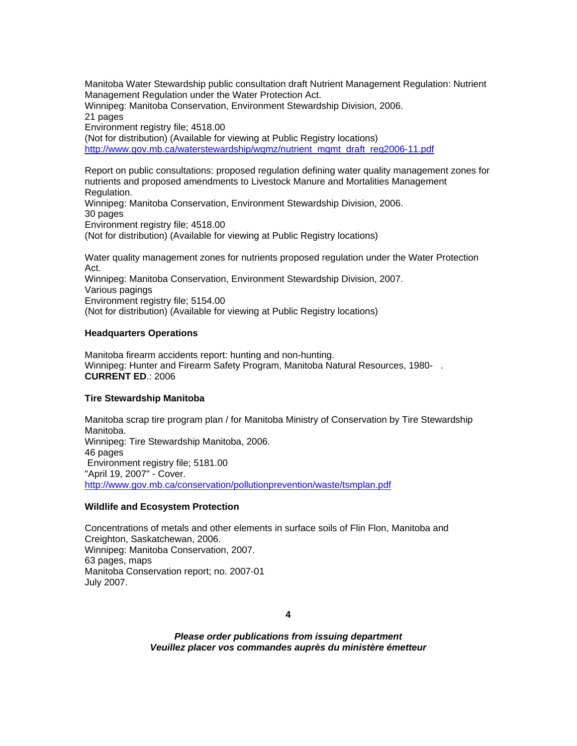Manitoba Water Stewardship public consultation draft Nutrient Management Regulation: Nutrient Management Regulation under the Water Protection Act. Winnipeg: Manitoba Conservation, Environment Stewardship Division, 2006. 21 pages Environment registry file; 4518.00 (Not for distribution) (Available for viewing at Public Registry locations) http://www.gov.mb.ca/waterstewardship/wqmz/nutrient\_mgmt\_draft\_reg2006-11.pdf

Report on public consultations: proposed regulation defining water quality management zones for nutrients and proposed amendments to Livestock Manure and Mortalities Management Regulation. Winnipeg: Manitoba Conservation, Environment Stewardship Division, 2006. 30 pages Environment registry file; 4518.00 (Not for distribution) (Available for viewing at Public Registry locations)

Water quality management zones for nutrients proposed regulation under the Water Protection Act. Winnipeg: Manitoba Conservation, Environment Stewardship Division, 2007. Various pagings Environment registry file; 5154.00 (Not for distribution) (Available for viewing at Public Registry locations)

#### **Headquarters Operations**

Manitoba firearm accidents report: hunting and non-hunting. Winnipeg: Hunter and Firearm Safety Program, Manitoba Natural Resources, 1980- . **CURRENT ED**.: 2006

## **Tire Stewardship Manitoba**

Manitoba scrap tire program plan / for Manitoba Ministry of Conservation by Tire Stewardship Manitoba. Winnipeg: Tire Stewardship Manitoba, 2006. 46 pages Environment registry file; 5181.00 "April 19, 2007" - Cover. http://www.gov.mb.ca/conservation/pollutionprevention/waste/tsmplan.pdf

#### **Wildlife and Ecosystem Protection**

Concentrations of metals and other elements in surface soils of Flin Flon, Manitoba and Creighton, Saskatchewan, 2006. Winnipeg: Manitoba Conservation, 2007. 63 pages, maps Manitoba Conservation report; no. 2007-01 July 2007.

**4**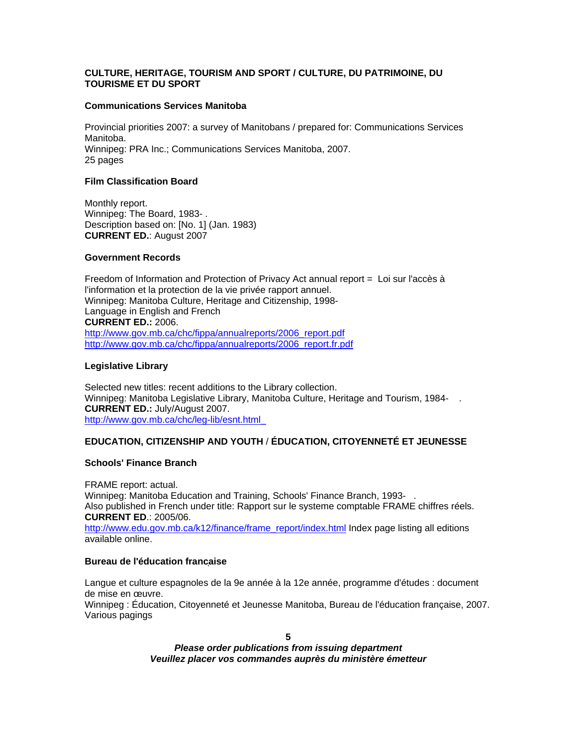# **CULTURE, HERITAGE, TOURISM AND SPORT / CULTURE, DU PATRIMOINE, DU TOURISME ET DU SPORT**

## **Communications Services Manitoba**

Provincial priorities 2007: a survey of Manitobans / prepared for: Communications Services Manitoba. Winnipeg: PRA Inc.; Communications Services Manitoba, 2007. 25 pages

# **Film Classification Board**

Monthly report. Winnipeg: The Board, 1983- . Description based on: [No. 1] (Jan. 1983) **CURRENT ED.**: August 2007

# **Government Records**

Freedom of Information and Protection of Privacy Act annual report = Loi sur l'accès à l'information et la protection de la vie privée rapport annuel. Winnipeg: Manitoba Culture, Heritage and Citizenship, 1998- Language in English and French **CURRENT ED.:** 2006. http://www.gov.mb.ca/chc/fippa/annualreports/2006\_report.pdf http://www.gov.mb.ca/chc/fippa/annualreports/2006\_report.fr.pdf

# **Legislative Library**

Selected new titles: recent additions to the Library collection. Winnipeg: Manitoba Legislative Library, Manitoba Culture, Heritage and Tourism, 1984- . **CURRENT ED.:** July/August 2007. http://www.gov.mb.ca/chc/leg-lib/esnt.html\_

# **EDUCATION, CITIZENSHIP AND YOUTH** / **ÉDUCATION, CITOYENNETÉ ET JEUNESSE**

## **Schools' Finance Branch**

FRAME report: actual. Winnipeg: Manitoba Education and Training, Schools' Finance Branch, 1993-. Also published in French under title: Rapport sur le systeme comptable FRAME chiffres réels. **CURRENT ED**.: 2005/06. http://www.edu.gov.mb.ca/k12/finance/frame\_report/index.html Index page listing all editions available online.

## **Bureau de l'éducation franc̜aise**

Langue et culture espagnoles de la 9e année à la 12e année, programme d'études : document de mise en œuvre. Winnipeg : Éducation, Citoyenneté et Jeunesse Manitoba, Bureau de l'éducation française, 2007. Various pagings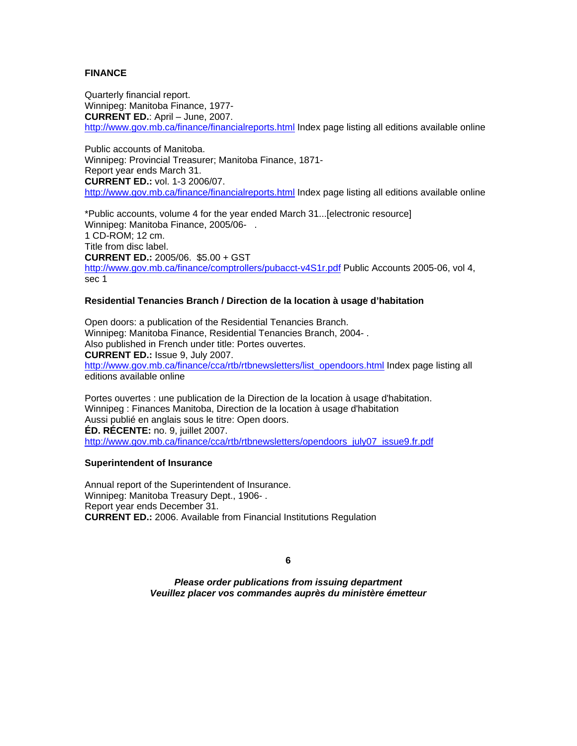# **FINANCE**

Quarterly financial report. Winnipeg: Manitoba Finance, 1977- **CURRENT ED.**: April – June, 2007. http://www.gov.mb.ca/finance/financialreports.html Index page listing all editions available online

Public accounts of Manitoba. Winnipeg: Provincial Treasurer; Manitoba Finance, 1871- Report year ends March 31. **CURRENT ED.:** vol. 1-3 2006/07. http://www.gov.mb.ca/finance/financialreports.html Index page listing all editions available online

\*Public accounts, volume 4 for the year ended March 31...[electronic resource] Winnipeg: Manitoba Finance, 2005/06-1 CD-ROM; 12 cm. Title from disc label. **CURRENT ED.:** 2005/06. \$5.00 + GST http://www.gov.mb.ca/finance/comptrollers/pubacct-v4S1r.pdf Public Accounts 2005-06, vol 4, sec 1

#### **Residential Tenancies Branch / Direction de la location à usage d'habitation**

Open doors: a publication of the Residential Tenancies Branch. Winnipeg: Manitoba Finance, Residential Tenancies Branch, 2004- . Also published in French under title: Portes ouvertes. **CURRENT ED.:** Issue 9, July 2007. http://www.gov.mb.ca/finance/cca/rtb/rtbnewsletters/list\_opendoors.html Index page listing all editions available online

Portes ouvertes : une publication de la Direction de la location à usage d'habitation. Winnipeg : Finances Manitoba, Direction de la location à usage d'habitation Aussi publié en anglais sous le titre: Open doors. **ÉD. RÉCENTE:** no. 9, juillet 2007. http://www.gov.mb.ca/finance/cca/rtb/rtbnewsletters/opendoors\_july07\_issue9.fr.pdf

#### **Superintendent of Insurance**

Annual report of the Superintendent of Insurance. Winnipeg: Manitoba Treasury Dept., 1906- . Report year ends December 31. **CURRENT ED.:** 2006. Available from Financial Institutions Regulation

**6**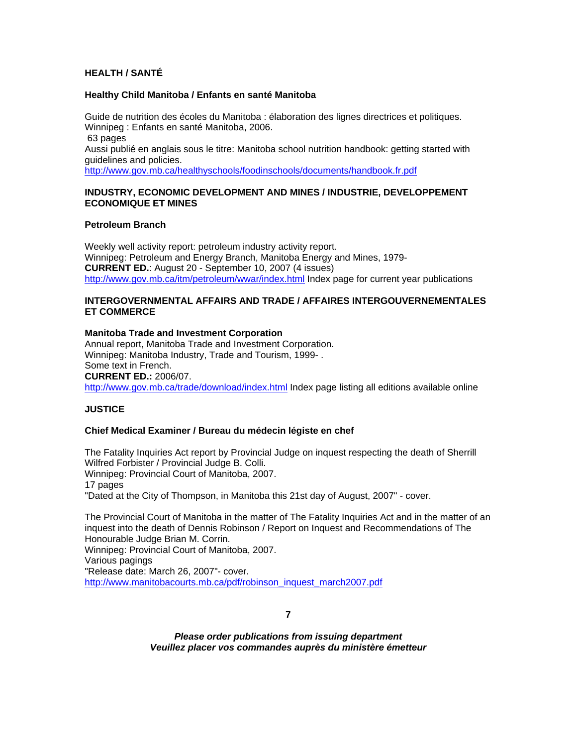# **HEALTH / SANTÉ**

#### **Healthy Child Manitoba / Enfants en santé Manitoba**

Guide de nutrition des écoles du Manitoba : élaboration des lignes directrices et politiques. Winnipeg : Enfants en santé Manitoba, 2006. 63 pages Aussi publié en anglais sous le titre: Manitoba school nutrition handbook: getting started with guidelines and policies. http://www.gov.mb.ca/healthyschools/foodinschools/documents/handbook.fr.pdf

## **INDUSTRY, ECONOMIC DEVELOPMENT AND MINES / INDUSTRIE, DEVELOPPEMENT ECONOMIQUE ET MINES**

#### **Petroleum Branch**

Weekly well activity report: petroleum industry activity report. Winnipeg: Petroleum and Energy Branch, Manitoba Energy and Mines, 1979- **CURRENT ED.**: August 20 - September 10, 2007 (4 issues) http://www.gov.mb.ca/itm/petroleum/wwar/index.html Index page for current year publications

## **INTERGOVERNMENTAL AFFAIRS AND TRADE / AFFAIRES INTERGOUVERNEMENTALES ET COMMERCE**

#### **Manitoba Trade and Investment Corporation**

Annual report, Manitoba Trade and Investment Corporation. Winnipeg: Manitoba Industry, Trade and Tourism, 1999- . Some text in French. **CURRENT ED.:** 2006/07. http://www.gov.mb.ca/trade/download/index.html Index page listing all editions available online

# **JUSTICE**

## **Chief Medical Examiner / Bureau du médecin légiste en chef**

The Fatality Inquiries Act report by Provincial Judge on inquest respecting the death of Sherrill Wilfred Forbister / Provincial Judge B. Colli.

Winnipeg: Provincial Court of Manitoba, 2007.

17 pages

"Dated at the City of Thompson, in Manitoba this 21st day of August, 2007" - cover.

The Provincial Court of Manitoba in the matter of The Fatality Inquiries Act and in the matter of an inquest into the death of Dennis Robinson / Report on Inquest and Recommendations of The Honourable Judge Brian M. Corrin.

Winnipeg: Provincial Court of Manitoba, 2007.

Various pagings

"Release date: March 26, 2007"- cover.

http://www.manitobacourts.mb.ca/pdf/robinson\_inquest\_march2007.pdf

**7**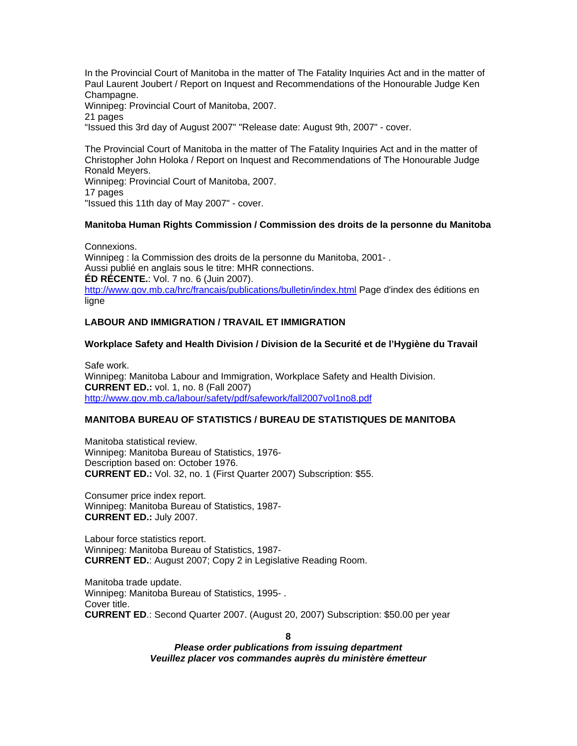In the Provincial Court of Manitoba in the matter of The Fatality Inquiries Act and in the matter of Paul Laurent Joubert / Report on Inquest and Recommendations of the Honourable Judge Ken Champagne. Winnipeg: Provincial Court of Manitoba, 2007. 21 pages "Issued this 3rd day of August 2007" "Release date: August 9th, 2007" - cover.

The Provincial Court of Manitoba in the matter of The Fatality Inquiries Act and in the matter of Christopher John Holoka / Report on Inquest and Recommendations of The Honourable Judge Ronald Meyers.

Winnipeg: Provincial Court of Manitoba, 2007. 17 pages "Issued this 11th day of May 2007" - cover.

# **Manitoba Human Rights Commission / Commission des droits de la personne du Manitoba**

Connexions. Winnipeg : la Commission des droits de la personne du Manitoba, 2001- . Aussi publié en anglais sous le titre: MHR connections. **ÉD RÉCENTE.**: Vol. 7 no. 6 (Juin 2007). http://www.gov.mb.ca/hrc/francais/publications/bulletin/index.html Page d'index des éditions en ligne

# **LABOUR AND IMMIGRATION / TRAVAIL ET IMMIGRATION**

# **Workplace Safety and Health Division / Division de la Securité et de l'Hygiène du Travail**

Safe work. Winnipeg: Manitoba Labour and Immigration, Workplace Safety and Health Division. **CURRENT ED.:** vol. 1, no. 8 (Fall 2007) http://www.gov.mb.ca/labour/safety/pdf/safework/fall2007vol1no8.pdf

## **MANITOBA BUREAU OF STATISTICS / BUREAU DE STATISTIQUES DE MANITOBA**

Manitoba statistical review. Winnipeg: Manitoba Bureau of Statistics, 1976- Description based on: October 1976. **CURRENT ED.:** Vol. 32, no. 1 (First Quarter 2007) Subscription: \$55.

Consumer price index report. Winnipeg: Manitoba Bureau of Statistics, 1987- **CURRENT ED.:** July 2007.

Labour force statistics report. Winnipeg: Manitoba Bureau of Statistics, 1987- **CURRENT ED.**: August 2007; Copy 2 in Legislative Reading Room.

Manitoba trade update. Winnipeg: Manitoba Bureau of Statistics, 1995- . Cover title. **CURRENT ED**.: Second Quarter 2007. (August 20, 2007) Subscription: \$50.00 per year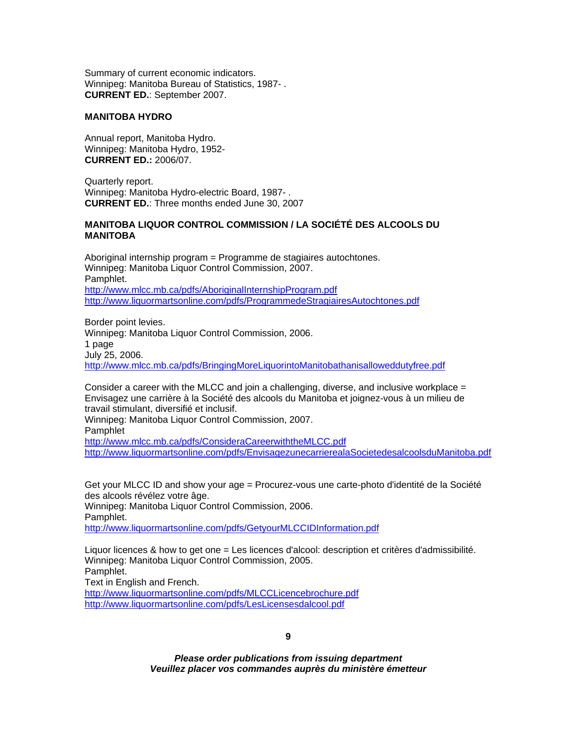Summary of current economic indicators. Winnipeg: Manitoba Bureau of Statistics, 1987- . **CURRENT ED.**: September 2007.

## **MANITOBA HYDRO**

Annual report, Manitoba Hydro. Winnipeg: Manitoba Hydro, 1952- **CURRENT ED.:** 2006/07.

Quarterly report. Winnipeg: Manitoba Hydro-electric Board, 1987- . **CURRENT ED.**: Three months ended June 30, 2007

## **MANITOBA LIQUOR CONTROL COMMISSION / LA SOCIÉTÉ DES ALCOOLS DU MANITOBA**

Aboriginal internship program = Programme de stagiaires autochtones. Winnipeg: Manitoba Liquor Control Commission, 2007. Pamphlet. http://www.mlcc.mb.ca/pdfs/AboriginalInternshipProgram.pdf http://www.liquormartsonline.com/pdfs/ProgrammedeStragiairesAutochtones.pdf

Border point levies. Winnipeg: Manitoba Liquor Control Commission, 2006. 1 page July 25, 2006. http://www.mlcc.mb.ca/pdfs/BringingMoreLiquorintoManitobathanisalloweddutyfree.pdf

Consider a career with the MLCC and join a challenging, diverse, and inclusive workplace  $=$ Envisagez une carrière à la Société des alcools du Manitoba et joignez-vous à un milieu de travail stimulant, diversifié et inclusif.

Winnipeg: Manitoba Liquor Control Commission, 2007.

Pamphlet

http://www.mlcc.mb.ca/pdfs/ConsideraCareerwiththeMLCC.pdf http://www.liquormartsonline.com/pdfs/EnvisagezunecarrierealaSocietedesalcoolsduManitoba.pdf

Get your MLCC ID and show your age = Procurez-vous une carte-photo d'identité de la Société des alcools révélez votre âge. Winnipeg: Manitoba Liquor Control Commission, 2006. Pamphlet. http://www.liquormartsonline.com/pdfs/GetyourMLCCIDInformation.pdf

Liquor licences & how to get one = Les licences d'alcool: description et critères d'admissibilité. Winnipeg: Manitoba Liquor Control Commission, 2005. Pamphlet. Text in English and French.

http://www.liquormartsonline.com/pdfs/MLCCLicencebrochure.pdf http://www.liquormartsonline.com/pdfs/LesLicensesdalcool.pdf

**9**